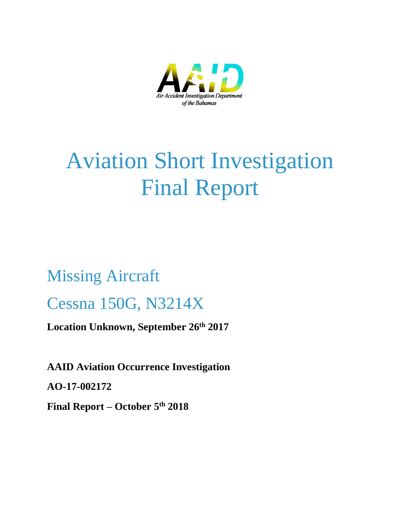

# Aviation Short Investigation Final Report

# Missing Aircraft Cessna 150G, N3214X

**Location Unknown, September 26th 2017**

**AAID Aviation Occurrence Investigation** 

**AO-17-002172**

**Final Report – October 5th 2018**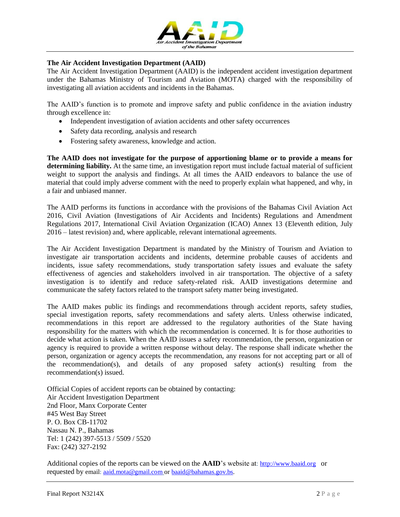

#### **The Air Accident Investigation Department (AAID)**

The Air Accident Investigation Department (AAID) is the independent accident investigation department under the Bahamas Ministry of Tourism and Aviation (MOTA) charged with the responsibility of investigating all aviation accidents and incidents in the Bahamas.

The AAID's function is to promote and improve safety and public confidence in the aviation industry through excellence in:

- Independent investigation of aviation accidents and other safety occurrences
- Safety data recording, analysis and research
- Fostering safety awareness, knowledge and action.

**The AAID does not investigate for the purpose of apportioning blame or to provide a means for determining liability.** At the same time, an investigation report must include factual material of sufficient weight to support the analysis and findings. At all times the AAID endeavors to balance the use of material that could imply adverse comment with the need to properly explain what happened, and why, in a fair and unbiased manner.

The AAID performs its functions in accordance with the provisions of the Bahamas Civil Aviation Act 2016, Civil Aviation (Investigations of Air Accidents and Incidents) Regulations and Amendment Regulations 2017, International Civil Aviation Organization (ICAO) Annex 13 (Eleventh edition, July 2016 – latest revision) and, where applicable, relevant international agreements.

The Air Accident Investigation Department is mandated by the Ministry of Tourism and Aviation to investigate air transportation accidents and incidents, determine probable causes of accidents and incidents, issue safety recommendations, study transportation safety issues and evaluate the safety effectiveness of agencies and stakeholders involved in air transportation. The objective of a safety investigation is to identify and reduce safety-related risk. AAID investigations determine and communicate the safety factors related to the transport safety matter being investigated.

The AAID makes public its findings and recommendations through accident reports, safety studies, special investigation reports, safety recommendations and safety alerts. Unless otherwise indicated, recommendations in this report are addressed to the regulatory authorities of the State having responsibility for the matters with which the recommendation is concerned. It is for those authorities to decide what action is taken. When the AAID issues a safety recommendation, the person, organization or agency is required to provide a written response without delay. The response shall indicate whether the person, organization or agency accepts the recommendation, any reasons for not accepting part or all of the recommendation(s), and details of any proposed safety action(s) resulting from the recommendation(s) issued.

Official Copies of accident reports can be obtained by contacting: Air Accident Investigation Department 2nd Floor, Manx Corporate Center #45 West Bay Street P. O. Box CB-11702 Nassau N. P., Bahamas Tel: 1 (242) 397-5513 / 5509 / 5520 Fax: (242) 327-2192

Additional copies of the reports can be viewed on the **AAID**'s website at: [http://www.baaid.org](http://www.baaid.org/) or requested by email: [aaid.mota@gmail.com](mailto:aaid.mota@gmail.com) or [baaid@bahamas.gov.bs.](mailto:baaid@bahamas.gov.bs)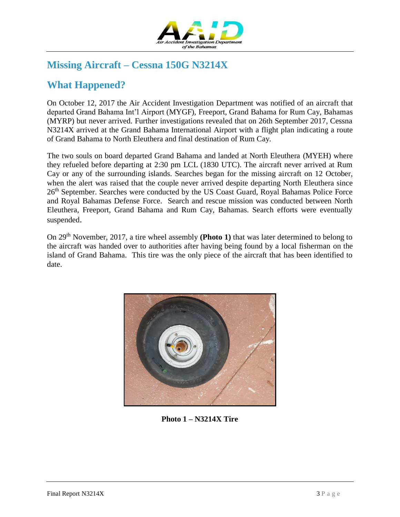

# **Missing Aircraft – Cessna 150G N3214X**

## **What Happened?**

On October 12, 2017 the Air Accident Investigation Department was notified of an aircraft that departed Grand Bahama Int'l Airport (MYGF), Freeport, Grand Bahama for Rum Cay, Bahamas (MYRP) but never arrived. Further investigations revealed that on 26th September 2017, Cessna N3214X arrived at the Grand Bahama International Airport with a flight plan indicating a route of Grand Bahama to North Eleuthera and final destination of Rum Cay.

The two souls on board departed Grand Bahama and landed at North Eleuthera (MYEH) where they refueled before departing at 2:30 pm LCL (1830 UTC). The aircraft never arrived at Rum Cay or any of the surrounding islands. Searches began for the missing aircraft on 12 October, when the alert was raised that the couple never arrived despite departing North Eleuthera since 26<sup>th</sup> September. Searches were conducted by the US Coast Guard, Royal Bahamas Police Force and Royal Bahamas Defense Force. Search and rescue mission was conducted between North Eleuthera, Freeport, Grand Bahama and Rum Cay, Bahamas. Search efforts were eventually suspended.

On 29th November, 2017, a tire wheel assembly **(Photo 1)** that was later determined to belong to the aircraft was handed over to authorities after having being found by a local fisherman on the island of Grand Bahama. This tire was the only piece of the aircraft that has been identified to date.



**Photo 1 – N3214X Tire**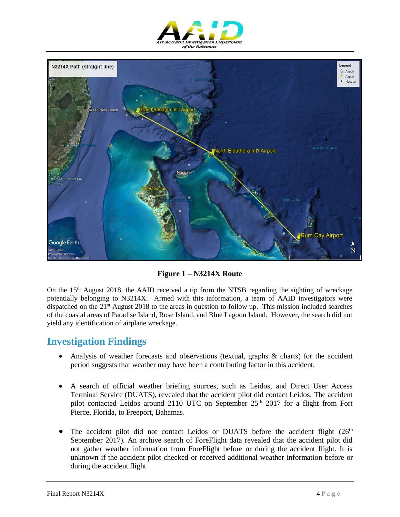



**Figure 1 – N3214X Route**

On the  $15<sup>th</sup>$  August 2018, the AAID received a tip from the NTSB regarding the sighting of wreckage potentially belonging to N3214X. Armed with this information, a team of AAID investigators were dispatched on the 21st August 2018 to the areas in question to follow up. This mission included searches of the coastal areas of Paradise Island, Rose Island, and Blue Lagoon Island. However, the search did not yield any identification of airplane wreckage.

## **Investigation Findings**

- Analysis of weather forecasts and observations (textual, graphs & charts) for the accident period suggests that weather may have been a contributing factor in this accident.
- A search of official weather briefing sources, such as Leidos, and Direct User Access Terminal Service (DUATS), revealed that the accident pilot did contact Leidos. The accident pilot contacted Leidos around 2110 UTC on September 25<sup>th</sup> 2017 for a flight from Fort Pierce, Florida, to Freeport, Bahamas.
- The accident pilot did not contact Leidos or DUATS before the accident flight  $(26<sup>th</sup>$ September 2017). An archive search of ForeFlight data revealed that the accident pilot did not gather weather information from ForeFlight before or during the accident flight. It is unknown if the accident pilot checked or received additional weather information before or during the accident flight.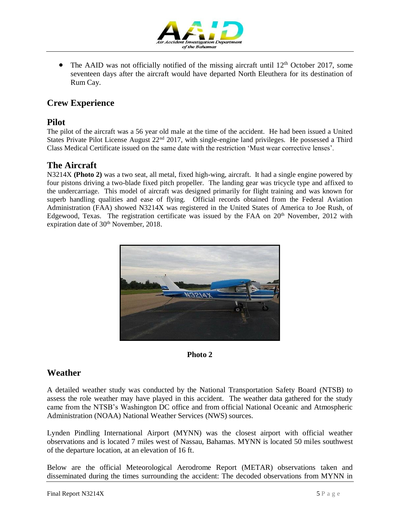

• The AAID was not officially notified of the missing aircraft until 12<sup>th</sup> October 2017, some seventeen days after the aircraft would have departed North Eleuthera for its destination of Rum Cay.

## **Crew Experience**

### **Pilot**

The pilot of the aircraft was a 56 year old male at the time of the accident. He had been issued a United States Private Pilot License August 22<sup>nd</sup> 2017, with single-engine land privileges. He possessed a Third Class Medical Certificate issued on the same date with the restriction 'Must wear corrective lenses'.

## **The Aircraft**

N3214X **(Photo 2)** was a two seat, all metal, fixed high-wing, aircraft. It had a single engine powered by four pistons driving a two-blade fixed pitch propeller. The landing gear was tricycle type and affixed to the undercarriage. This model of aircraft was designed primarily for flight training and was known for superb handling qualities and ease of flying. Official records obtained from the Federal Aviation Administration (FAA) showed N3214X was registered in the United States of America to Joe Rush, of Edgewood, Texas. The registration certificate was issued by the FAA on  $20<sup>th</sup>$  November, 2012 with expiration date of 30<sup>th</sup> November, 2018.





## **Weather**

A detailed weather study was conducted by the National Transportation Safety Board (NTSB) to assess the role weather may have played in this accident. The weather data gathered for the study came from the NTSB's Washington DC office and from official National Oceanic and Atmospheric Administration (NOAA) National Weather Services (NWS) sources.

Lynden Pindling International Airport (MYNN) was the closest airport with official weather observations and is located 7 miles west of Nassau, Bahamas. MYNN is located 50 miles southwest of the departure location, at an elevation of 16 ft.

Below are the official Meteorological Aerodrome Report (METAR) observations taken and disseminated during the times surrounding the accident: The decoded observations from MYNN in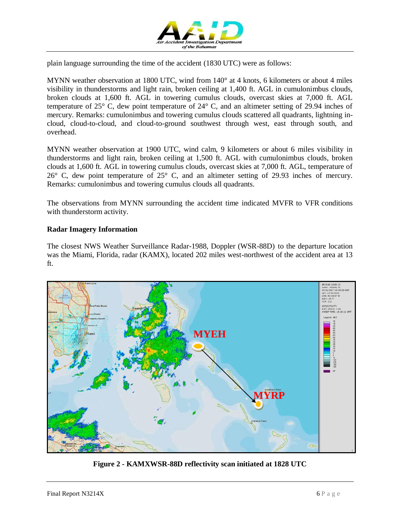

plain language surrounding the time of the accident (1830 UTC) were as follows:

MYNN weather observation at 1800 UTC, wind from 140° at 4 knots, 6 kilometers or about 4 miles visibility in thunderstorms and light rain, broken ceiling at 1,400 ft. AGL in cumulonimbus clouds, broken clouds at 1,600 ft. AGL in towering cumulus clouds, overcast skies at 7,000 ft. AGL temperature of 25° C, dew point temperature of 24° C, and an altimeter setting of 29.94 inches of mercury. Remarks: cumulonimbus and towering cumulus clouds scattered all quadrants, lightning incloud, cloud-to-cloud, and cloud-to-ground southwest through west, east through south, and overhead.

MYNN weather observation at 1900 UTC, wind calm, 9 kilometers or about 6 miles visibility in thunderstorms and light rain, broken ceiling at 1,500 ft. AGL with cumulonimbus clouds, broken clouds at 1,600 ft. AGL in towering cumulus clouds, overcast skies at 7,000 ft. AGL, temperature of 26° C, dew point temperature of 25° C, and an altimeter setting of 29.93 inches of mercury. Remarks: cumulonimbus and towering cumulus clouds all quadrants.

The observations from MYNN surrounding the accident time indicated MVFR to VFR conditions with thunderstorm activity.

#### **Radar Imagery Information**

The closest NWS Weather Surveillance Radar-1988, Doppler (WSR-88D) to the departure location was the Miami, Florida, radar (KAMX), located 202 miles west-northwest of the accident area at 13 ft.



**Figure 2 - KAMXWSR-88D reflectivity scan initiated at 1828 UTC**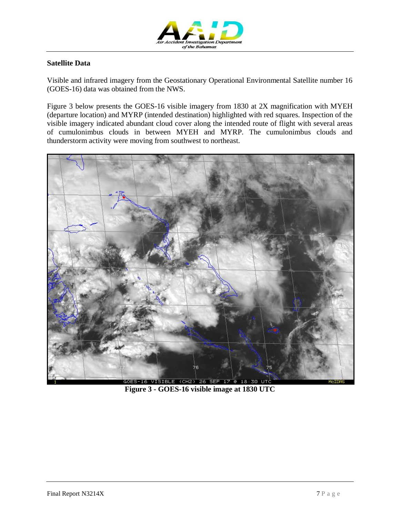

#### **Satellite Data**

Visible and infrared imagery from the Geostationary Operational Environmental Satellite number 16 (GOES-16) data was obtained from the NWS.

Figure 3 below presents the GOES-16 visible imagery from 1830 at 2X magnification with MYEH (departure location) and MYRP (intended destination) highlighted with red squares. Inspection of the visible imagery indicated abundant cloud cover along the intended route of flight with several areas of cumulonimbus clouds in between MYEH and MYRP. The cumulonimbus clouds and thunderstorm activity were moving from southwest to northeast.



**Figure 3 - GOES-16 visible image at 1830 UTC**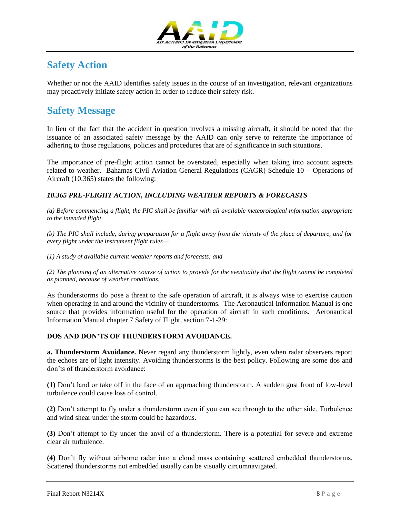

# **Safety Action**

Whether or not the AAID identifies safety issues in the course of an investigation, relevant organizations may proactively initiate safety action in order to reduce their safety risk.

# **Safety Message**

In lieu of the fact that the accident in question involves a missing aircraft, it should be noted that the issuance of an associated safety message by the AAID can only serve to reiterate the importance of adhering to those regulations, policies and procedures that are of significance in such situations.

The importance of pre-flight action cannot be overstated, especially when taking into account aspects related to weather. Bahamas Civil Aviation General Regulations (CAGR) Schedule 10 – Operations of Aircraft (10.365) states the following:

### *10.365 PRE-FLIGHT ACTION, INCLUDING WEATHER REPORTS & FORECASTS*

*(a) Before commencing a flight, the PIC shall be familiar with all available meteorological information appropriate to the intended flight.* 

*(b) The PIC shall include, during preparation for a flight away from the vicinity of the place of departure, and for every flight under the instrument flight rules—*

*(1) A study of available current weather reports and forecasts; and*

*(2) The planning of an alternative course of action to provide for the eventuality that the flight cannot be completed as planned, because of weather conditions.*

As thunderstorms do pose a threat to the safe operation of aircraft, it is always wise to exercise caution when operating in and around the vicinity of thunderstorms. The Aeronautical Information Manual is one source that provides information useful for the operation of aircraft in such conditions. Aeronautical Information Manual chapter 7 Safety of Flight, section 7-1-29:

#### **DOS AND DON'TS OF THUNDERSTORM AVOIDANCE.**

**a. Thunderstorm Avoidance.** Never regard any thunderstorm lightly, even when radar observers report the echoes are of light intensity. Avoiding thunderstorms is the best policy. Following are some dos and don'ts of thunderstorm avoidance:

**(1)** Don't land or take off in the face of an approaching thunderstorm. A sudden gust front of low-level turbulence could cause loss of control.

**(2)** Don't attempt to fly under a thunderstorm even if you can see through to the other side. Turbulence and wind shear under the storm could be hazardous.

**(3)** Don't attempt to fly under the anvil of a thunderstorm. There is a potential for severe and extreme clear air turbulence.

**(4)** Don't fly without airborne radar into a cloud mass containing scattered embedded thunderstorms. Scattered thunderstorms not embedded usually can be visually circumnavigated.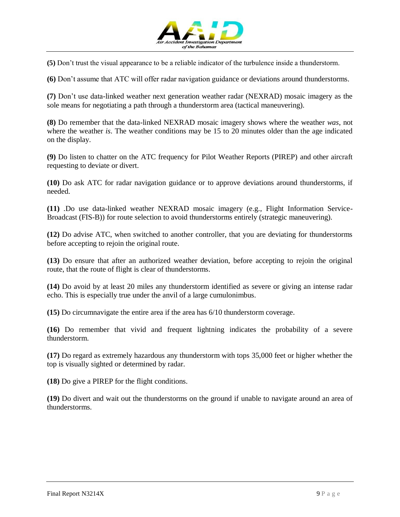

**(5)** Don't trust the visual appearance to be a reliable indicator of the turbulence inside a thunderstorm.

**(6)** Don't assume that ATC will offer radar navigation guidance or deviations around thunderstorms.

**(7)** Don't use data-linked weather next generation weather radar (NEXRAD) mosaic imagery as the sole means for negotiating a path through a thunderstorm area (tactical maneuvering).

**(8)** Do remember that the data-linked NEXRAD mosaic imagery shows where the weather *was*, not where the weather *is*. The weather conditions may be 15 to 20 minutes older than the age indicated on the display.

**(9)** Do listen to chatter on the ATC frequency for Pilot Weather Reports (PIREP) and other aircraft requesting to deviate or divert.

**(10)** Do ask ATC for radar navigation guidance or to approve deviations around thunderstorms, if needed.

**(11)** .Do use data-linked weather NEXRAD mosaic imagery (e.g., Flight Information Service-Broadcast (FIS-B)) for route selection to avoid thunderstorms entirely (strategic maneuvering).

**(12)** Do advise ATC, when switched to another controller, that you are deviating for thunderstorms before accepting to rejoin the original route.

**(13)** Do ensure that after an authorized weather deviation, before accepting to rejoin the original route, that the route of flight is clear of thunderstorms.

**(14)** Do avoid by at least 20 miles any thunderstorm identified as severe or giving an intense radar echo. This is especially true under the anvil of a large cumulonimbus.

**(15)** Do circumnavigate the entire area if the area has 6/10 thunderstorm coverage.

**(16)** Do remember that vivid and frequent lightning indicates the probability of a severe thunderstorm.

**(17)** Do regard as extremely hazardous any thunderstorm with tops 35,000 feet or higher whether the top is visually sighted or determined by radar.

**(18)** Do give a PIREP for the flight conditions.

**(19)** Do divert and wait out the thunderstorms on the ground if unable to navigate around an area of thunderstorms.